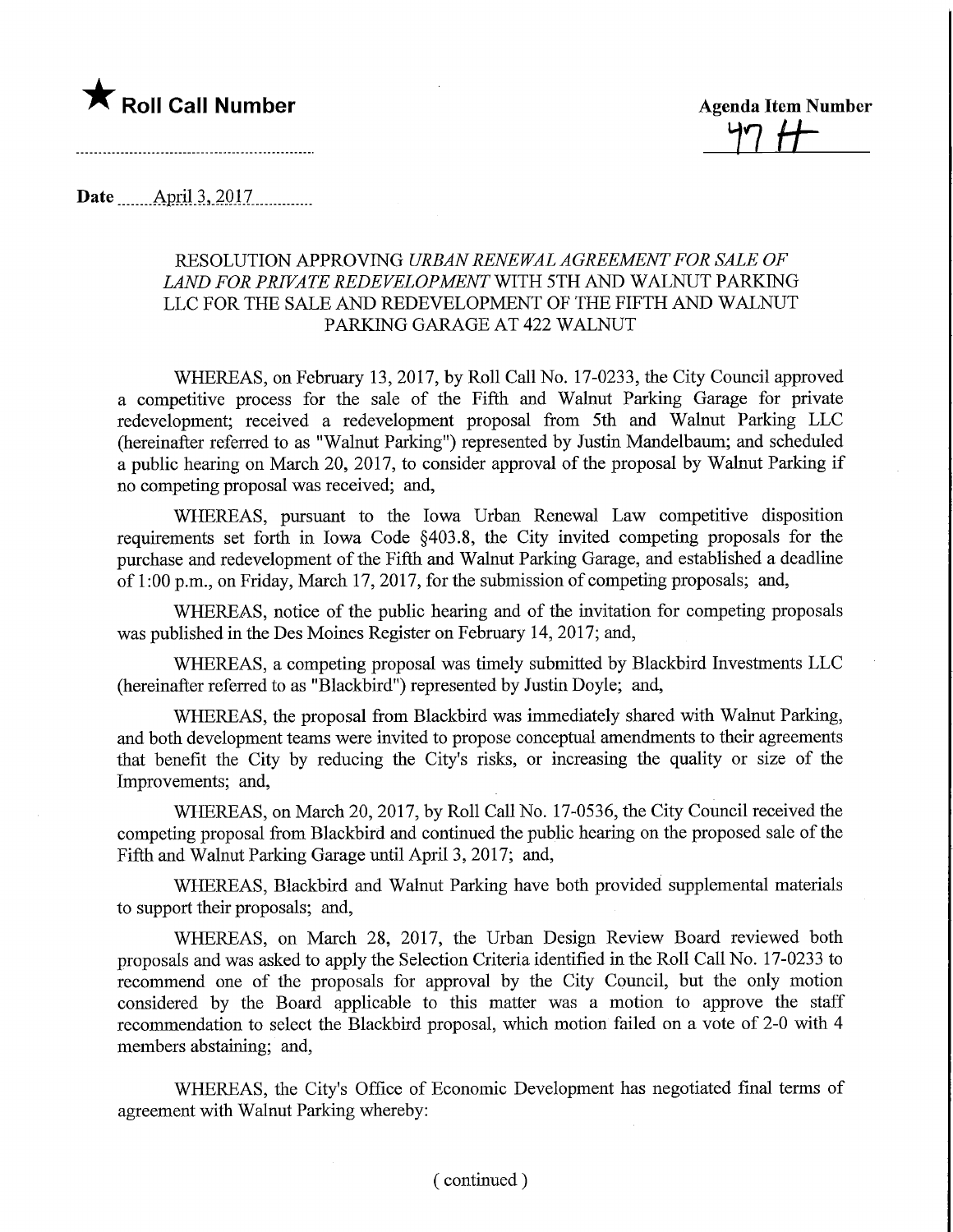

**Agenda Item Number** 

Date ........April-3,.2017.

## RESOLUTION APPROVING URBAN RENEWAL AGREEMENT FOR SALE OF LAND FOR PRIVATE REDEVELOPMENT WITH 5TH AND WALNUT PARKING LLC FOR THE SALE AND REDEVELOPMENT OF THE FIFTH AND WALNUT PARKING GARAGE AT 422 WALNUT

WHEREAS, on February 13, 2017, by Roll Call No. 17-0233, the City Council approved a competitive process for the sale of the Fifth and Walnut Parking Garage for private redevelopment; received a redevelopment proposal from 5th and Walnut Parking LLC (hereinafter referred to as "Walnut Parking") represented by Justin Mandelbaum; and scheduled a public hearing on March 20, 2017, to consider approval of the proposal by Walnut Parking if no competing proposal was received; and,

WHEREAS, pursuant to the Iowa Urban Renewal Law competitive disposition requirements set forth in Iowa Code §403.8, the City invited competing proposals for the purchase and redevelopment of the Fifth and Walnut Parking Garage, and established a deadline of 1:00 p.m., on Friday, March 17, 2017, for the submission of competing proposals; and,

WHEREAS, notice of the public hearing and of the invitation for competing proposals was published in the Des Moines Register on February 14, 2017; and,

WHEREAS, a competing proposal was timely submitted by Blackbird Investments LLC (hereinafter referred to as "Blackbird") represented by Justin Doyle; and,

WHEREAS, the proposal from Blackbird was immediately shared with Walnut Parking, and both development teams were invited to propose conceptual amendments to their agreements that benefit the City by reducing the City's risks, or increasing the quality or size of the Improvements; and,

WHEREAS, on March 20, 2017, by Roll Call No. 17-0536, the City Council received the competing proposal from Blackbird and continued the public hearing on the proposed sale of the Fifth and Walnut Parking Garage until April 3, 2017; and,

WHEREAS, Blackbird and Walnut Parking have both provided supplemental materials to support their proposals; and,

WHEREAS, on March 28, 2017, the Urban Design Review Board reviewed both proposals and was asked to apply the Selection Criteria identified in the Roll Call No. 17-0233 to recommend one of the proposals for approval by the City Council, but the only motion considered by the Board applicable to this matter was a motion to approve the staff recommendation to select the Blackbird proposal, which motion failed on a vote of 2-0 with 4 members abstaining; and,

WHEREAS, the City's Office of Economic Development has negotiated final terms of agreement with Walnut Parking whereby: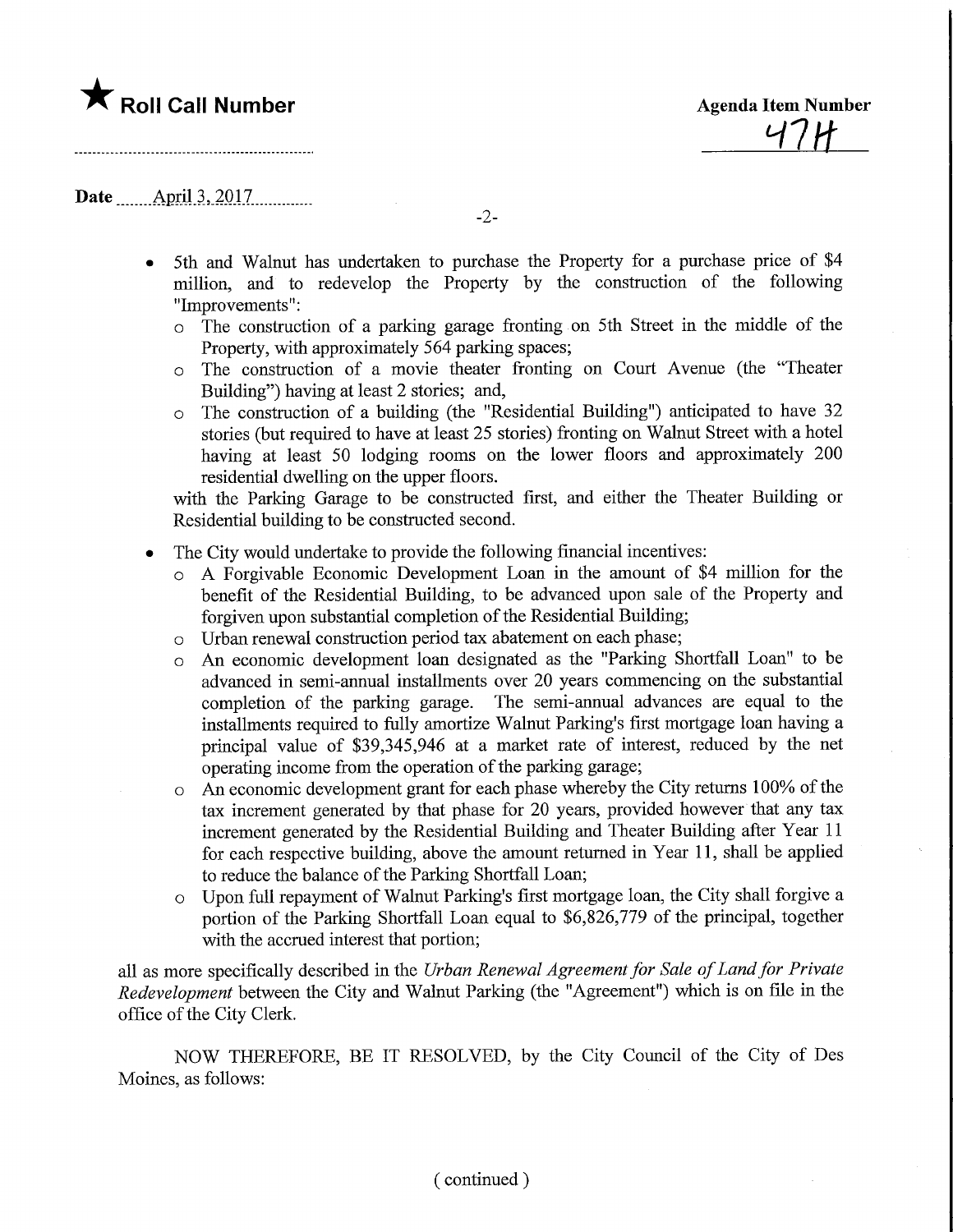## **The Roll Call Number Agents Container Agents Item Number**

H7H-

Date ........AprU.3,.2017.

-2-

- 5th and Walnut has undertaken to purchase the Property for a purchase price of \$4 million, and to redevelop the Property by the construction of the following "Improvements":
	- o The construction of a parking garage fronting on 5th Street in the middle of the Property, with approximately 564 parking spaces;
	- o The construction of a movie theater fronting on Court Avenue (the "Theater Building") having at least 2 stories; and,
	- o The construction of a building (the "Residential Building") anticipated to have 32 stories (but required to have at least 25 stories) fronting on Walnut Street with a hotel having at least 50 lodging rooms on the lower floors and approximately 200 residential dwelling on the upper floors.

with the Parking Garage to be constructed first, and either the Theater Building or Residential building to be constructed second.

- The City would undertake to provide the following financial incentives:
	- o A Forgivable Economic Development Loan in the amount of \$4 million for the benefit of the Residential Building, to be advanced upon sale of the Property and forgiven upon substantial completion of the Residential Building;
	- o Urban renewal construction period tax abatement on each phase;
	- o An economic development loan designated as the "Parking Shortfall Loan" to be advanced in semi-annual installments over 20 years commencing on the substantial completion of the parking garage. The semi-annual advances are equal to the installments required to fully amortize Walnut Parking's first mortgage loan having a principal value of \$39,345,946 at a market rate of interest, reduced by the net operating income from the operation of the parking garage;
	- o An economic development grant for each phase whereby the City retims 100% of the tax increment generated by that phase for 20 years, provided however that any tax increment generated by the Residential Building and Theater Building after Year 11 for each respective building, above the amount returned in Year 11, shall be applied to reduce the balance of the Parking Shortfall Loan;
	- o Upon full repayment of Walnut Parking's first mortgage loan, the City shall forgive a portion of the Parking Shortfall Loan equal to \$6,826,779 of the principal, together with the accrued interest that portion;

all as more specifically described in the Urban Renewal Agreement for Sale of Land for Private Redevelopment between the City and Walnut Parking (the "Agreement") which is on file in the office of the City Clerk.

NOW THEREFORE, BE IT RESOLVED, by the City Council of the City of Des Moines, as follows: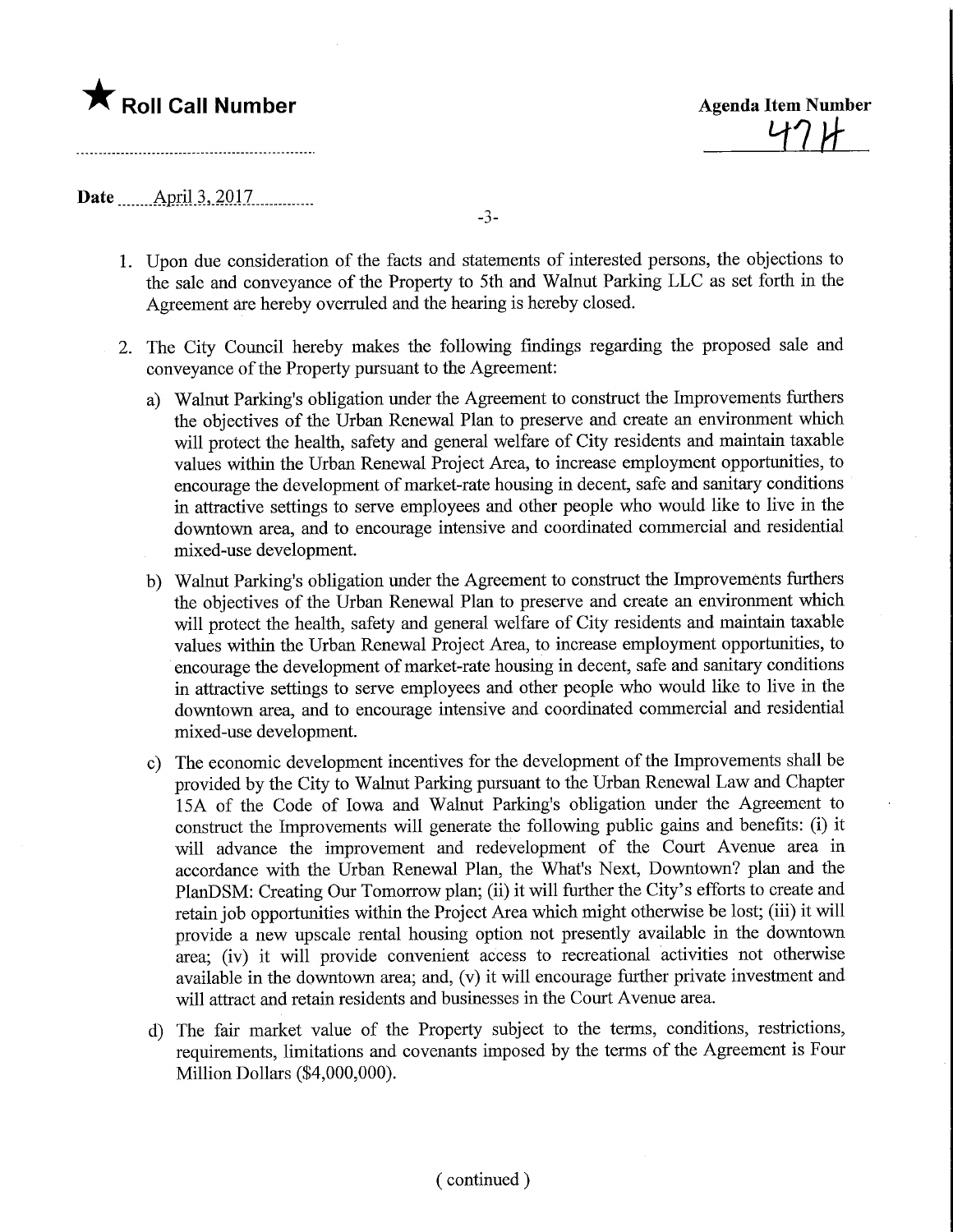## **The Roll Call Number Agents Container Agents Item Number**

474

Date ........April.3,.2017.

1. Upon due consideration of the facts and statements of interested persons, the objections to the sale and conveyance of the Property to 5th and Walnut Parking LLC as set forth in the Agreement are hereby overruled and the hearing is hereby closed.

-3-

- 2. The City Council hereby makes the following findings regarding the proposed sale and conveyance of the Property pursuant to the Agreement:
	- a) Walnut Parking's obligation under the Agreement to construct the Improvements furthers the objectives of the Urban Renewal Plan to preserve and create an environment which will protect the health, safety and general welfare of City residents and maintain taxable values within the Urban Renewal Project Area, to increase employment opportunities, to encourage the development of market-rate housing in decent, safe and sanitary conditions in attractive settings to serve employees and other people who would like to live in the downtown area, and to encourage intensive and coordinated commercial and residential mixed-use development.
	- b) Walnut Parking's obligation under the Agreement to construct the Improvements furthers the objectives of the Urban Renewal Plan to preserve and create an environment which will protect the health, safety and general welfare of City residents and maintain taxable values within the Urban Renewal Project Area, to increase employment opportunities, to encourage the development of market-rate housing in decent, safe and sanitary conditions m attractive settings to serve employees and other people who would like to live in the downtown area, and to encourage intensive and coordinated commercial and residential mixed-use development.
	- c) The economic development incentives for the development of the Improvements shall be provided by the City to Walnut Parking pursuant to the Urban Renewal Law and Chapter 15A of the Code of Iowa and Walnut Parking's obligation under the Agreement to construct the Improvements will generate the following public gains and benefits: (i) it will advance the improvement and redevelopment of the Court Avenue area in accordance with the Urban Renewal Plan, the What's Next, Downtown? plan and the PlanDSM: Creating Our Tomorrow plan; (ii) it will further the City's efforts to create and retain job opportunities within the Project Area which might otherwise be lost; (iii) it will provide a new upscale rental housing option not presently available in the downtown area; (iv) it will provide convenient access to recreational activities not otherwise available in the downtown area; and, (v) it will encourage further private investment and will attract and retain residents and businesses in the Court Avenue area.
	- d) The fair market value of the Property subject to the terms, conditions, restrictions, requirements, limitations and covenants imposed by the terms of the Agreement is Four Million Dollars (\$4,000,000).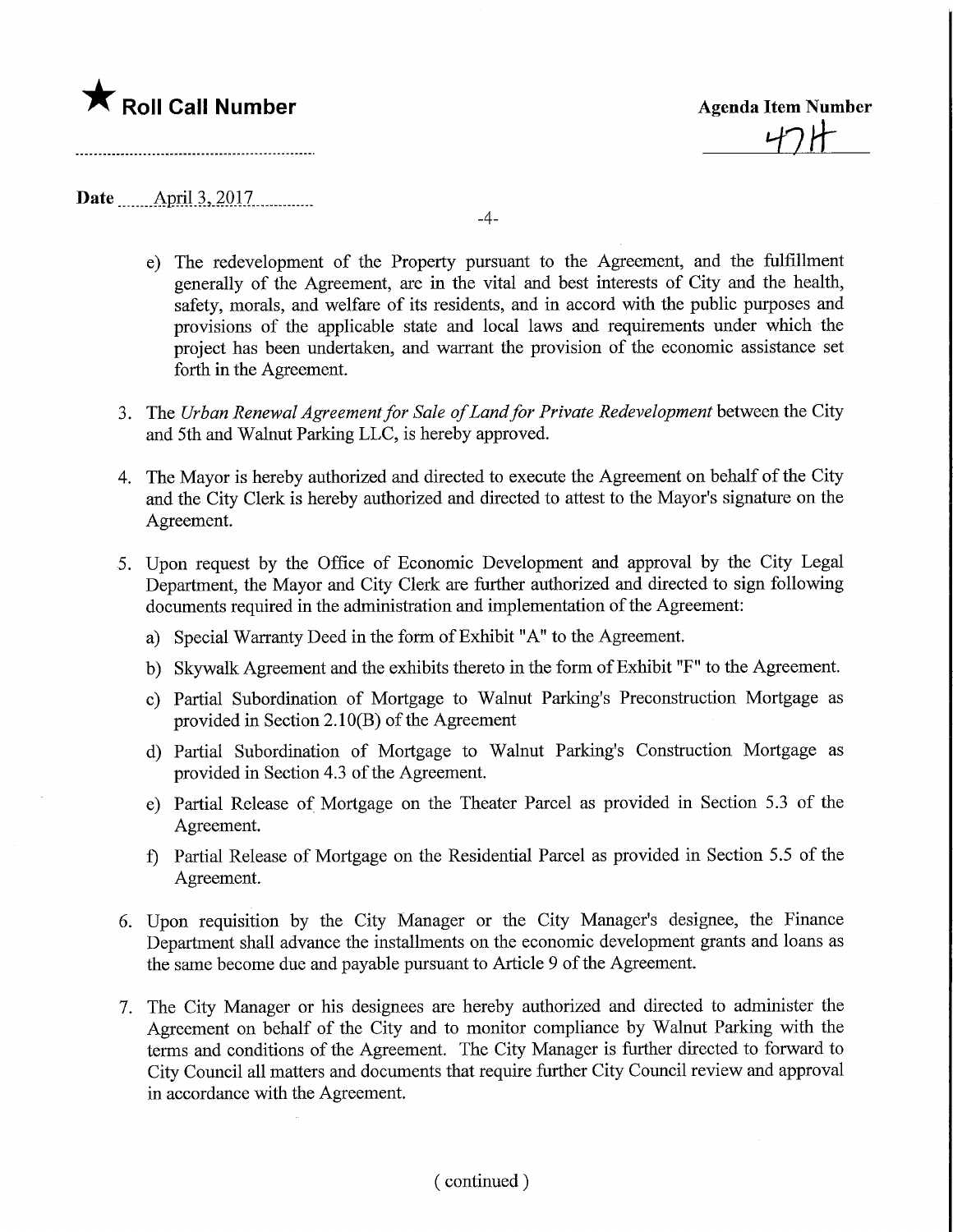## $\bigstar$  Roll Call Number

Agenda Item Number

Date April 3, 2017

 $-4-$ 

- e) The redevelopment of the Property pursuant to the Agreement, and the fulfillment generally of the Agreement, are in the vital and best interests of City and the health, safety, morals, and welfare of its residents, and in accord with the public purposes and provisions of the applicable state and local laws and requirements under which the project has been undertaken, and warrant the provision of the economic assistance set forth in the Agreement.
- 3. The Urban Renewal Agreement for Sale of Land for Private Redevelopment between the City and 5th and Walnut Parking LLC, is hereby approved.
- 4. The Mayor is hereby authorized and directed to execute the Agreement on behalf of the City and the City Clerk is hereby authorized and directed to attest to the Mayor's signature on the Agreement.
- 5. Upon request by the Office of Economic Development and approval by the City Legal Department, the Mayor and City Clerk are further authorized and directed to sign following documents required in the administration and implementation of the Agreement:
	- a) Special Warranty Deed in the form of Exhibit "A" to the Agreement.
	- b) Skywalk Agreement and the exhibits thereto in the form of Exhibit "F" to the Agreement.
	- c) Partial Subordination of Mortgage to Walnut Parking's Preconstmction Mortgage as provided in Section 2.10(B) of the Agreement
	- d) Partial Subordination of Mortgage to Walnut Parking's Construction Mortgage as provided in Section 4.3 of the Agreement.
	- e) Partial Release of Mortgage on the Theater Parcel as provided in Section 5.3 of the Agreement.
	- f) Partial Release of Mortgage on the Residential Parcel as provided in Section 5.5 of the Agreement.
- 6. Upon requisition by the City Manager or the City Manager's designee, the Finance Department shall advance the installments on the economic development grants and loans as the same become due and payable pursuant to Article 9 of the Agreement.
- 7. The City Manager or his designees are hereby authorized and directed to administer the Agreement on behalf of the City and to monitor compliance by Walnut Parking with the terms and conditions of the Agreement. The City Manager is further directed to forward to City Council all matters and documents that require further City Council review and approval in accordance with the Agreement.